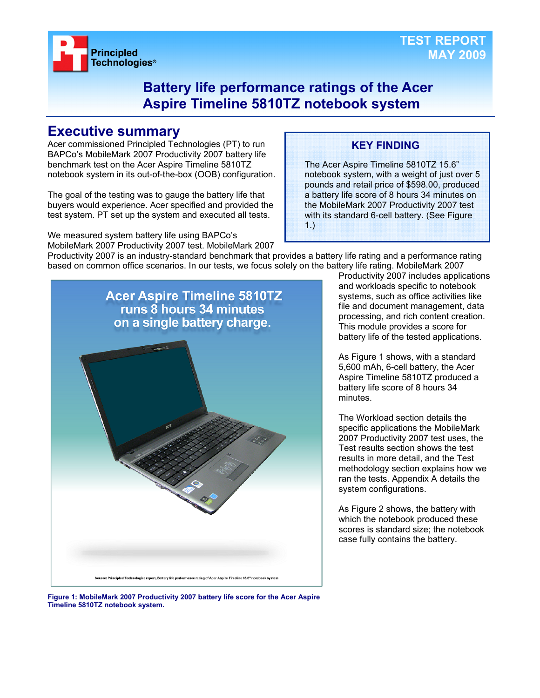

### **Battery life performance ratings of the Acer Aspire Timeline 5810TZ notebook system**

### **Executive summary**

Acer commissioned Principled Technologies (PT) to run BAPCo's MobileMark 2007 Productivity 2007 battery life benchmark test on the Acer Aspire Timeline 5810TZ notebook system in its out-of-the-box (OOB) configuration.

The goal of the testing was to gauge the battery life that buyers would experience. Acer specified and provided the test system. PT set up the system and executed all tests.

We measured system battery life using BAPCo's MobileMark 2007 Productivity 2007 test. MobileMark 2007

### **KEY FINDING**

The Acer Aspire Timeline 5810TZ 15.6" notebook system, with a weight of just over 5 pounds and retail price of \$598.00, produced a battery life score of 8 hours 34 minutes on the MobileMark 2007 Productivity 2007 test with its standard 6-cell battery. (See Figure 1.)

Productivity 2007 is an industry-standard benchmark that provides a battery life rating and a performance rating based on common office scenarios. In our tests, we focus solely on the battery life rating. MobileMark 2007



Productivity 2007 includes applications and workloads specific to notebook systems, such as office activities like file and document management, data processing, and rich content creation. This module provides a score for battery life of the tested applications.

As Figure 1 shows, with a standard 5,600 mAh, 6-cell battery, the Acer Aspire Timeline 5810TZ produced a battery life score of 8 hours 34 minutes.

The Workload section details the specific applications the MobileMark 2007 Productivity 2007 test uses, the Test results section shows the test results in more detail, and the Test methodology section explains how we ran the tests. Appendix A details the system configurations.

As Figure 2 shows, the battery with which the notebook produced these scores is standard size; the notebook case fully contains the battery.

**Figure 1: MobileMark 2007 Productivity 2007 battery life score for the Acer Aspire Timeline 5810TZ notebook system.**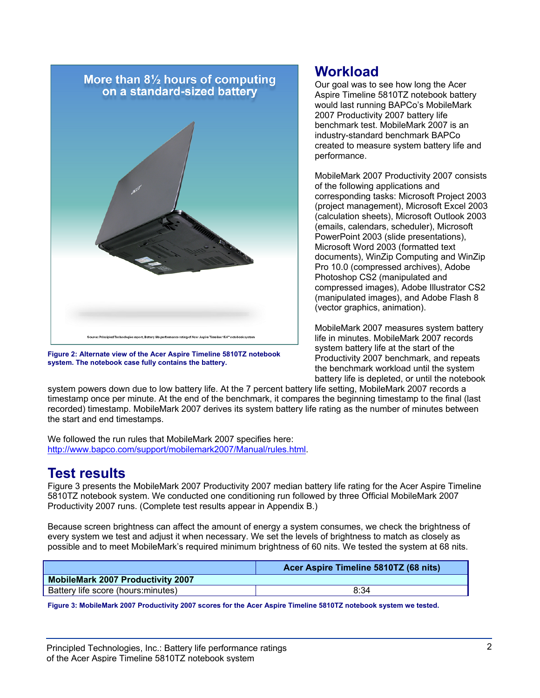

**Figure 2: Alternate view of the Acer Aspire Timeline 5810TZ notebook system. The notebook case fully contains the battery.** 

### **Workload**

Our goal was to see how long the Acer Aspire Timeline 5810TZ notebook battery would last running BAPCo's MobileMark 2007 Productivity 2007 battery life benchmark test. MobileMark 2007 is an industry-standard benchmark BAPCo created to measure system battery life and performance.

MobileMark 2007 Productivity 2007 consists of the following applications and corresponding tasks: Microsoft Project 2003 (project management), Microsoft Excel 2003 (calculation sheets), Microsoft Outlook 2003 (emails, calendars, scheduler), Microsoft PowerPoint 2003 (slide presentations), Microsoft Word 2003 (formatted text documents), WinZip Computing and WinZip Pro 10.0 (compressed archives), Adobe Photoshop CS2 (manipulated and compressed images), Adobe Illustrator CS2 (manipulated images), and Adobe Flash 8 (vector graphics, animation).

MobileMark 2007 measures system battery life in minutes. MobileMark 2007 records system battery life at the start of the Productivity 2007 benchmark, and repeats the benchmark workload until the system battery life is depleted, or until the notebook

system powers down due to low battery life. At the 7 percent battery life setting, MobileMark 2007 records a timestamp once per minute. At the end of the benchmark, it compares the beginning timestamp to the final (last recorded) timestamp. MobileMark 2007 derives its system battery life rating as the number of minutes between the start and end timestamps.

We followed the run rules that MobileMark 2007 specifies here: http://www.bapco.com/support/mobilemark2007/Manual/rules.html.

## **Test results**

Figure 3 presents the MobileMark 2007 Productivity 2007 median battery life rating for the Acer Aspire Timeline 5810TZ notebook system. We conducted one conditioning run followed by three Official MobileMark 2007 Productivity 2007 runs. (Complete test results appear in Appendix B.)

Because screen brightness can affect the amount of energy a system consumes, we check the brightness of every system we test and adjust it when necessary. We set the levels of brightness to match as closely as possible and to meet MobileMark's required minimum brightness of 60 nits. We tested the system at 68 nits.

|                                          | Acer Aspire Timeline 5810TZ (68 nits) |
|------------------------------------------|---------------------------------------|
| <b>MobileMark 2007 Productivity 2007</b> |                                       |
| Battery life score (hours: minutes)      | 8:34                                  |

**Figure 3: MobileMark 2007 Productivity 2007 scores for the Acer Aspire Timeline 5810TZ notebook system we tested.**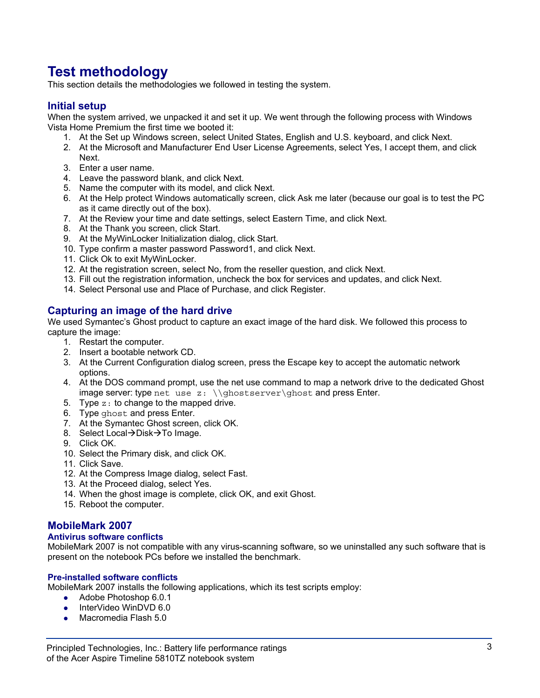# **Test methodology**

This section details the methodologies we followed in testing the system.

#### **Initial setup**

When the system arrived, we unpacked it and set it up. We went through the following process with Windows Vista Home Premium the first time we booted it:

- 1. At the Set up Windows screen, select United States, English and U.S. keyboard, and click Next.
- 2. At the Microsoft and Manufacturer End User License Agreements, select Yes, I accept them, and click Next.
- 3. Enter a user name.
- 4. Leave the password blank, and click Next.
- 5. Name the computer with its model, and click Next.
- 6. At the Help protect Windows automatically screen, click Ask me later (because our goal is to test the PC as it came directly out of the box).
- 7. At the Review your time and date settings, select Eastern Time, and click Next.
- 8. At the Thank you screen, click Start.
- 9. At the MyWinLocker Initialization dialog, click Start.
- 10. Type confirm a master password Password1, and click Next.
- 11. Click Ok to exit MyWinLocker.
- 12. At the registration screen, select No, from the reseller question, and click Next.
- 13. Fill out the registration information, uncheck the box for services and updates, and click Next.
- 14. Select Personal use and Place of Purchase, and click Register.

#### **Capturing an image of the hard drive**

We used Symantec's Ghost product to capture an exact image of the hard disk. We followed this process to capture the image:

- 1. Restart the computer.
- 2. Insert a bootable network CD.
- 3. At the Current Configuration dialog screen, press the Escape key to accept the automatic network options.
- 4. At the DOS command prompt, use the net use command to map a network drive to the dedicated Ghost image server: type net use  $z: \{\gh{\oslash} x\}$  and press Enter.
- 5. Type  $z:$  to change to the mapped drive.
- 6. Type ghost and press Enter.
- 7. At the Symantec Ghost screen, click OK.
- 8. Select Local→Disk→To Image.
- 9. Click OK.
- 10. Select the Primary disk, and click OK.
- 11. Click Save.
- 12. At the Compress Image dialog, select Fast.
- 13. At the Proceed dialog, select Yes.
- 14. When the ghost image is complete, click OK, and exit Ghost.
- 15. Reboot the computer.

#### **MobileMark 2007**

#### **Antivirus software conflicts**

MobileMark 2007 is not compatible with any virus-scanning software, so we uninstalled any such software that is present on the notebook PCs before we installed the benchmark.

#### **Pre-installed software conflicts**

MobileMark 2007 installs the following applications, which its test scripts employ:

- $\bullet$  Adobe Photoshop 6.0.1
- InterVideo WinDVD 6.0
- $\bullet$  Macromedia Flash 5.0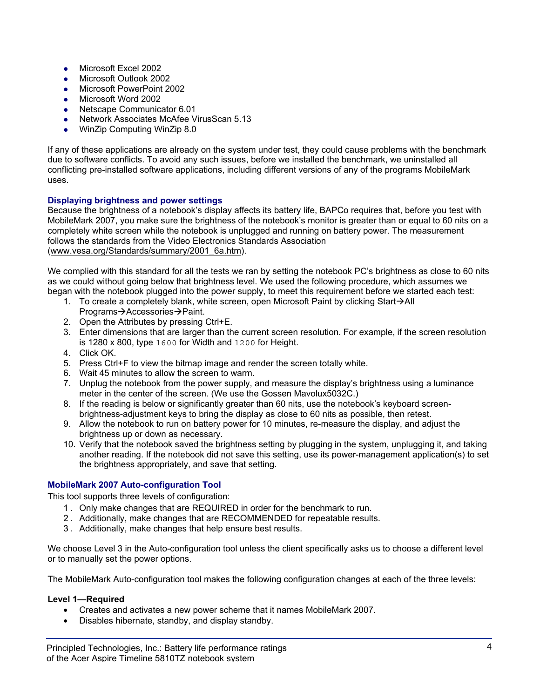- $\bullet$  Microsoft Excel 2002
- Microsoft Outlook 2002
- Microsoft PowerPoint 2002
- Microsoft Word 2002
- Netscape Communicator 6.01
- Network Associates McAfee VirusScan 5.13
- WinZip Computing WinZip 8.0

If any of these applications are already on the system under test, they could cause problems with the benchmark due to software conflicts. To avoid any such issues, before we installed the benchmark, we uninstalled all conflicting pre-installed software applications, including different versions of any of the programs MobileMark uses.

#### **Displaying brightness and power settings**

Because the brightness of a notebook's display affects its battery life, BAPCo requires that, before you test with MobileMark 2007, you make sure the brightness of the notebook's monitor is greater than or equal to 60 nits on a completely white screen while the notebook is unplugged and running on battery power. The measurement follows the standards from the Video Electronics Standards Association (www.vesa.org/Standards/summary/2001\_6a.htm).

We complied with this standard for all the tests we ran by setting the notebook PC's brightness as close to 60 nits as we could without going below that brightness level. We used the following procedure, which assumes we began with the notebook plugged into the power supply, to meet this requirement before we started each test:

- 1. To create a completely blank, white screen, open Microsoft Paint by clicking Start $\rightarrow$ All Programs→Accessories→Paint.
- 2. Open the Attributes by pressing Ctrl+E.
- 3. Enter dimensions that are larger than the current screen resolution. For example, if the screen resolution is 1280 x 800, type 1600 for Width and 1200 for Height.
- 4. Click OK.
- 5. Press Ctrl+F to view the bitmap image and render the screen totally white.
- 6. Wait 45 minutes to allow the screen to warm.
- 7. Unplug the notebook from the power supply, and measure the display's brightness using a luminance meter in the center of the screen. (We use the Gossen Mavolux5032C.)
- 8. If the reading is below or significantly greater than 60 nits, use the notebook's keyboard screenbrightness-adjustment keys to bring the display as close to 60 nits as possible, then retest.
- 9. Allow the notebook to run on battery power for 10 minutes, re-measure the display, and adjust the brightness up or down as necessary.
- 10. Verify that the notebook saved the brightness setting by plugging in the system, unplugging it, and taking another reading. If the notebook did not save this setting, use its power-management application(s) to set the brightness appropriately, and save that setting.

#### **MobileMark 2007 Auto-configuration Tool**

This tool supports three levels of configuration:

- 1 . Only make changes that are REQUIRED in order for the benchmark to run.
- 2 . Additionally, make changes that are RECOMMENDED for repeatable results.
- 3 . Additionally, make changes that help ensure best results.

We choose Level 3 in the Auto-configuration tool unless the client specifically asks us to choose a different level or to manually set the power options.

The MobileMark Auto-configuration tool makes the following configuration changes at each of the three levels:

#### **Level 1—Required**

- Creates and activates a new power scheme that it names MobileMark 2007.
- Disables hibernate, standby, and display standby.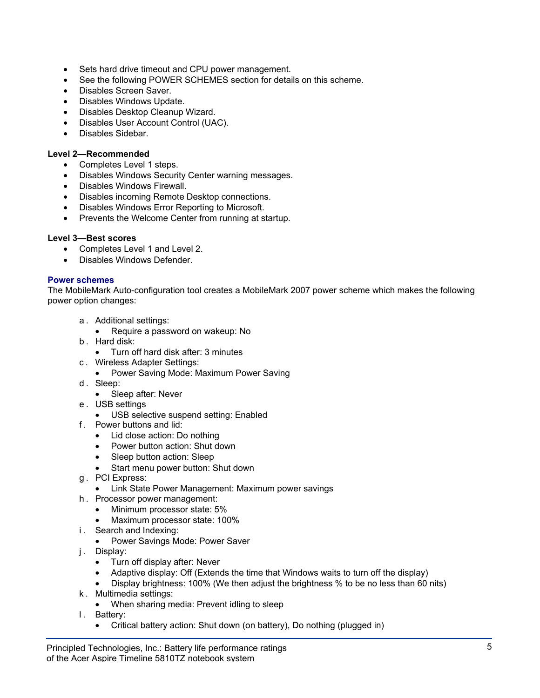- Sets hard drive timeout and CPU power management.
- See the following POWER SCHEMES section for details on this scheme.
- Disables Screen Saver.
- Disables Windows Update.
- Disables Desktop Cleanup Wizard.
- Disables User Account Control (UAC).
- Disables Sidebar.

#### **Level 2—Recommended**

- Completes Level 1 steps.
- Disables Windows Security Center warning messages.
- Disables Windows Firewall.
- Disables incoming Remote Desktop connections.
- Disables Windows Error Reporting to Microsoft.
- Prevents the Welcome Center from running at startup.

#### **Level 3—Best scores**

- Completes Level 1 and Level 2.
- Disables Windows Defender.

#### **Power schemes**

The MobileMark Auto-configuration tool creates a MobileMark 2007 power scheme which makes the following power option changes:

- a . Additional settings:
- Require a password on wakeup: No
- b . Hard disk:
	- Turn off hard disk after: 3 minutes
- c . Wireless Adapter Settings:
	- Power Saving Mode: Maximum Power Saving
- d. Sleep:
	- Sleep after: Never
- e . USB settings
	- USB selective suspend setting: Enabled
- f . Power buttons and lid:
	- Lid close action: Do nothing
	- Power button action: Shut down
	- Sleep button action: Sleep
	- Start menu power button: Shut down
- g . PCI Express:
	- Link State Power Management: Maximum power savings
- h . Processor power management:
	- Minimum processor state: 5%
	- Maximum processor state: 100%
- i. Search and Indexing:
	- Power Savings Mode: Power Saver
- j. Display:
	- Turn off display after: Never
	- Adaptive display: Off (Extends the time that Windows waits to turn off the display)
	- Display brightness: 100% (We then adjust the brightness % to be no less than 60 nits)
- k . Multimedia settings:
	- When sharing media: Prevent idling to sleep
- I. Battery:
	- Critical battery action: Shut down (on battery), Do nothing (plugged in)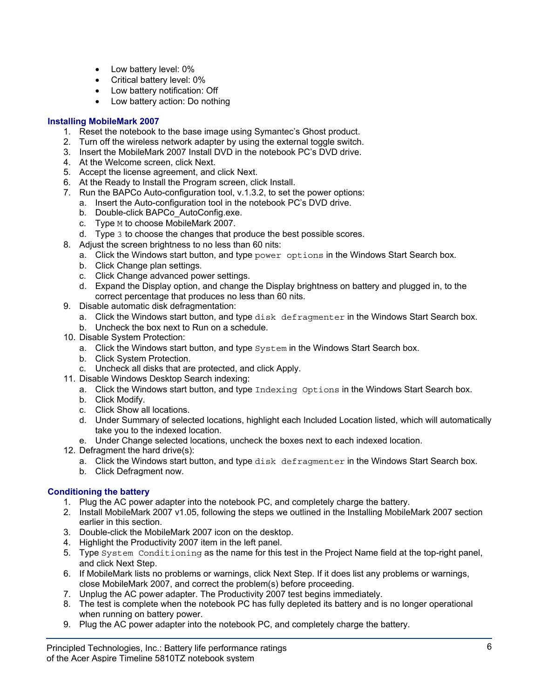- Low battery level: 0%
- Critical battery level: 0%
- Low battery notification: Off
- Low battery action: Do nothing

#### **Installing MobileMark 2007**

- 1. Reset the notebook to the base image using Symantec's Ghost product.
- 2. Turn off the wireless network adapter by using the external toggle switch.
- 3. Insert the MobileMark 2007 Install DVD in the notebook PC's DVD drive.
- 4. At the Welcome screen, click Next.
- 5. Accept the license agreement, and click Next.
- 6. At the Ready to Install the Program screen, click Install.
- 7. Run the BAPCo Auto-configuration tool, v.1.3.2, to set the power options:
	- a. Insert the Auto-configuration tool in the notebook PC's DVD drive.
	- b. Double-click BAPCo AutoConfig.exe.
	- c. Type M to choose MobileMark 2007.
	- d. Type 3 to choose the changes that produce the best possible scores.
- 8. Adjust the screen brightness to no less than 60 nits:
	- a. Click the Windows start button, and type power options in the Windows Start Search box.
		- b. Click Change plan settings.
		- c. Click Change advanced power settings.
		- d. Expand the Display option, and change the Display brightness on battery and plugged in, to the correct percentage that produces no less than 60 nits.
- 9. Disable automatic disk defragmentation:
	- a. Click the Windows start button, and type disk defragmenter in the Windows Start Search box.
	- b. Uncheck the box next to Run on a schedule.
- 10. Disable System Protection:
	- a. Click the Windows start button, and type System in the Windows Start Search box.
	- b. Click System Protection.
	- c. Uncheck all disks that are protected, and click Apply.
- 11. Disable Windows Desktop Search indexing:
	- a. Click the Windows start button, and type Indexing Options in the Windows Start Search box.
	- b. Click Modify.
	- c. Click Show all locations.
	- d. Under Summary of selected locations, highlight each Included Location listed, which will automatically take you to the indexed location.
	- e. Under Change selected locations, uncheck the boxes next to each indexed location.
- 12. Defragment the hard drive(s):
	- a. Click the Windows start button, and type disk defragmenter in the Windows Start Search box.
	- b. Click Defragment now.

#### **Conditioning the battery**

- 1. Plug the AC power adapter into the notebook PC, and completely charge the battery.
- 2. Install MobileMark 2007 v1.05, following the steps we outlined in the Installing MobileMark 2007 section earlier in this section.
- 3. Double-click the MobileMark 2007 icon on the desktop.
- 4. Highlight the Productivity 2007 item in the left panel.
- 5. Type System Conditioning as the name for this test in the Project Name field at the top-right panel, and click Next Step.
- 6. If MobileMark lists no problems or warnings, click Next Step. If it does list any problems or warnings, close MobileMark 2007, and correct the problem(s) before proceeding.
- 7. Unplug the AC power adapter. The Productivity 2007 test begins immediately.
- 8. The test is complete when the notebook PC has fully depleted its battery and is no longer operational when running on battery power.
- 9. Plug the AC power adapter into the notebook PC, and completely charge the battery.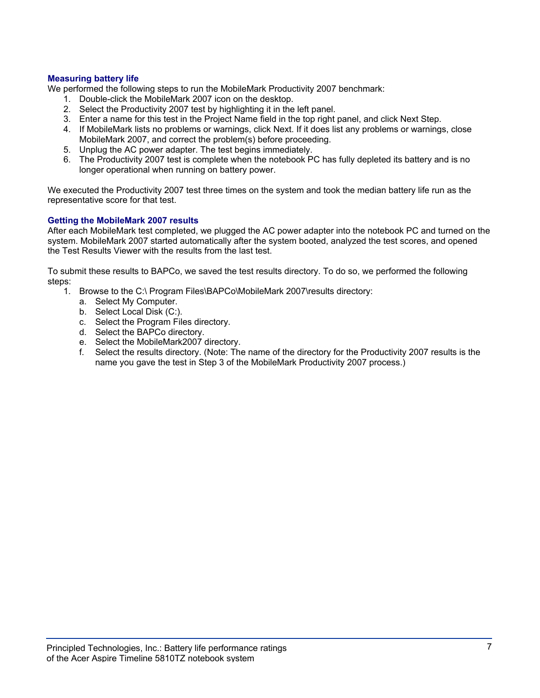#### **Measuring battery life**

We performed the following steps to run the MobileMark Productivity 2007 benchmark:

- 1. Double-click the MobileMark 2007 icon on the desktop.
- 2. Select the Productivity 2007 test by highlighting it in the left panel.
- 3. Enter a name for this test in the Project Name field in the top right panel, and click Next Step.
- 4. If MobileMark lists no problems or warnings, click Next. If it does list any problems or warnings, close MobileMark 2007, and correct the problem(s) before proceeding.
- 5. Unplug the AC power adapter. The test begins immediately.
- 6. The Productivity 2007 test is complete when the notebook PC has fully depleted its battery and is no longer operational when running on battery power.

We executed the Productivity 2007 test three times on the system and took the median battery life run as the representative score for that test.

#### **Getting the MobileMark 2007 results**

After each MobileMark test completed, we plugged the AC power adapter into the notebook PC and turned on the system. MobileMark 2007 started automatically after the system booted, analyzed the test scores, and opened the Test Results Viewer with the results from the last test.

To submit these results to BAPCo, we saved the test results directory. To do so, we performed the following steps:

- 1. Browse to the C:\ Program Files\BAPCo\MobileMark 2007\results directory:
	- a. Select My Computer.
	- b. Select Local Disk (C:).
	- c. Select the Program Files directory.
	- d. Select the BAPCo directory.
	- e. Select the MobileMark2007 directory.
	- f. Select the results directory. (Note: The name of the directory for the Productivity 2007 results is the name you gave the test in Step 3 of the MobileMark Productivity 2007 process.)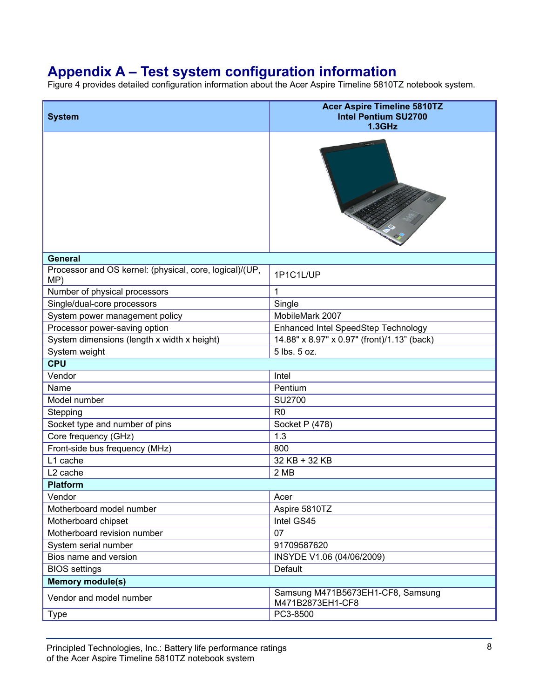# **Appendix A – Test system configuration information**

Figure 4 provides detailed configuration information about the Acer Aspire Timeline 5810TZ notebook system.

| <b>System</b>                                                  | <b>Acer Aspire Timeline 5810TZ</b><br><b>Intel Pentium SU2700</b><br>$1.3$ GHz |
|----------------------------------------------------------------|--------------------------------------------------------------------------------|
|                                                                | $\mathcal{I}_{\mathcal{A}}$                                                    |
| <b>General</b>                                                 |                                                                                |
| Processor and OS kernel: (physical, core, logical)/(UP,<br>MP) | 1P1C1L/UP                                                                      |
| Number of physical processors                                  | 1                                                                              |
| Single/dual-core processors                                    | Single                                                                         |
| System power management policy                                 | MobileMark 2007                                                                |
| Processor power-saving option                                  | Enhanced Intel SpeedStep Technology                                            |
| System dimensions (length x width x height)                    | 14.88" x 8.97" x 0.97" (front)/1.13" (back)                                    |
| System weight                                                  | 5 lbs. 5 oz.                                                                   |
| <b>CPU</b>                                                     |                                                                                |
| Vendor                                                         | Intel                                                                          |
| Name                                                           | Pentium                                                                        |
| Model number                                                   | <b>SU2700</b>                                                                  |
| Stepping                                                       | R <sub>0</sub>                                                                 |
| Socket type and number of pins                                 | Socket P (478)                                                                 |
| Core frequency (GHz)                                           | 1.3                                                                            |
| Front-side bus frequency (MHz)                                 | 800                                                                            |
| L1 cache                                                       | 32 KB + 32 KB                                                                  |
| L <sub>2</sub> cache                                           | 2 MB                                                                           |
| <b>Platform</b>                                                |                                                                                |
| Vendor                                                         | Acer                                                                           |
| Motherboard model number                                       | Aspire 5810TZ                                                                  |
| Motherboard chipset                                            | Intel GS45                                                                     |
| Motherboard revision number                                    | 07                                                                             |
| System serial number                                           | 91709587620                                                                    |
| Bios name and version                                          | INSYDE V1.06 (04/06/2009)                                                      |
| <b>BIOS</b> settings                                           | Default                                                                        |
| <b>Memory module(s)</b>                                        |                                                                                |
| Vendor and model number                                        | Samsung M471B5673EH1-CF8, Samsung<br>M471B2873EH1-CF8                          |
| <b>Type</b>                                                    | PC3-8500                                                                       |

Principled Technologies, Inc.: Battery life performance ratings **8** 8 of the Acer Aspire Timeline 5810TZ notebook system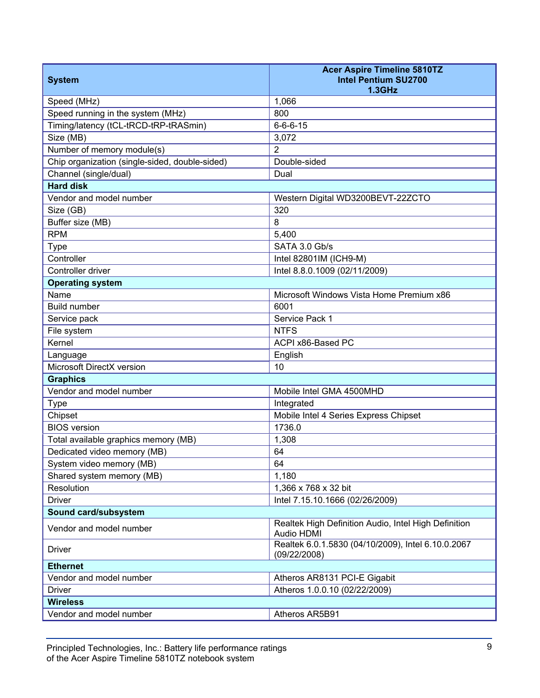| <b>System</b>                                  | <b>Acer Aspire Timeline 5810TZ</b><br><b>Intel Pentium SU2700</b><br>1.3GHz |  |
|------------------------------------------------|-----------------------------------------------------------------------------|--|
| Speed (MHz)                                    | 1,066                                                                       |  |
| Speed running in the system (MHz)              | 800                                                                         |  |
| Timing/latency (tCL-tRCD-tRP-tRASmin)          | $6 - 6 - 6 - 15$                                                            |  |
| Size (MB)                                      | 3,072                                                                       |  |
| Number of memory module(s)                     | $\overline{2}$                                                              |  |
| Chip organization (single-sided, double-sided) | Double-sided                                                                |  |
| Channel (single/dual)                          | Dual                                                                        |  |
| <b>Hard disk</b>                               |                                                                             |  |
| Vendor and model number                        | Western Digital WD3200BEVT-22ZCTO                                           |  |
| Size (GB)                                      | 320                                                                         |  |
| Buffer size (MB)                               | 8                                                                           |  |
| <b>RPM</b>                                     | 5,400                                                                       |  |
| <b>Type</b>                                    | SATA 3.0 Gb/s                                                               |  |
| Controller                                     | Intel 82801IM (ICH9-M)                                                      |  |
| Controller driver                              | Intel 8.8.0.1009 (02/11/2009)                                               |  |
| <b>Operating system</b>                        |                                                                             |  |
| Name                                           | Microsoft Windows Vista Home Premium x86                                    |  |
| <b>Build number</b>                            | 6001                                                                        |  |
| Service pack                                   | Service Pack 1                                                              |  |
| File system                                    | <b>NTFS</b>                                                                 |  |
| Kernel                                         | ACPI x86-Based PC                                                           |  |
| Language                                       | English                                                                     |  |
| Microsoft DirectX version                      | 10                                                                          |  |
| <b>Graphics</b>                                |                                                                             |  |
| Vendor and model number                        | Mobile Intel GMA 4500MHD                                                    |  |
| <b>Type</b>                                    | Integrated                                                                  |  |
| Chipset                                        | Mobile Intel 4 Series Express Chipset                                       |  |
| <b>BIOS</b> version                            | 1736.0                                                                      |  |
| Total available graphics memory (MB)           | 1,308                                                                       |  |
| Dedicated video memory (MB)                    | 64                                                                          |  |
| System video memory (MB)                       | 64                                                                          |  |
| Shared system memory (MB)                      | 1,180                                                                       |  |
| Resolution                                     | 1,366 x 768 x 32 bit                                                        |  |
| <b>Driver</b>                                  | Intel 7.15.10.1666 (02/26/2009)                                             |  |
| Sound card/subsystem                           |                                                                             |  |
| Vendor and model number                        | Realtek High Definition Audio, Intel High Definition<br>Audio HDMI          |  |
| <b>Driver</b>                                  | Realtek 6.0.1.5830 (04/10/2009), Intel 6.10.0.2067<br>(09/22/2008)          |  |
| <b>Ethernet</b>                                |                                                                             |  |
| Vendor and model number                        | Atheros AR8131 PCI-E Gigabit                                                |  |
| <b>Driver</b>                                  | Atheros 1.0.0.10 (02/22/2009)                                               |  |
| <b>Wireless</b>                                |                                                                             |  |
| Vendor and model number                        | Atheros AR5B91                                                              |  |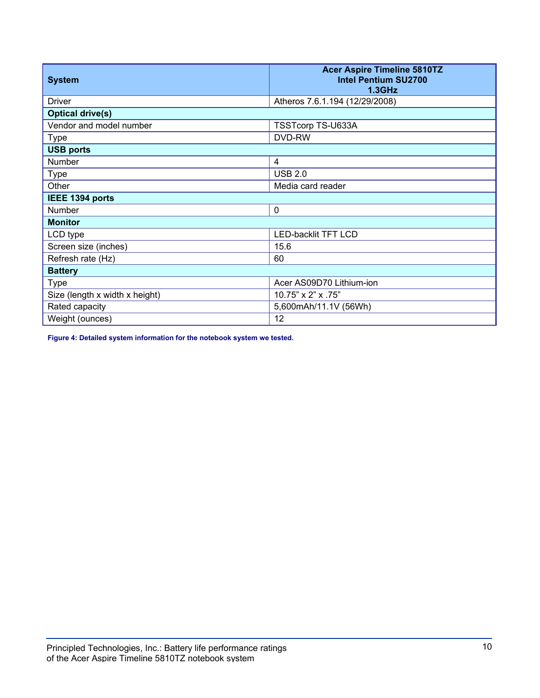| <b>System</b>                  | <b>Acer Aspire Timeline 5810TZ</b><br><b>Intel Pentium SU2700</b><br><b>1.3GHz</b> |
|--------------------------------|------------------------------------------------------------------------------------|
| <b>Driver</b>                  | Atheros 7.6.1.194 (12/29/2008)                                                     |
| <b>Optical drive(s)</b>        |                                                                                    |
| Vendor and model number        | TSSTcorp TS-U633A                                                                  |
| <b>Type</b>                    | DVD-RW                                                                             |
| <b>USB ports</b>               |                                                                                    |
| <b>Number</b>                  | $\overline{4}$                                                                     |
| <b>Type</b>                    | <b>USB 2.0</b>                                                                     |
| Other                          | Media card reader                                                                  |
| IEEE 1394 ports                |                                                                                    |
| Number                         | $\mathbf 0$                                                                        |
| <b>Monitor</b>                 |                                                                                    |
| LCD type                       | <b>LED-backlit TFT LCD</b>                                                         |
| Screen size (inches)           | 15.6                                                                               |
| Refresh rate (Hz)              | 60                                                                                 |
| <b>Battery</b>                 |                                                                                    |
| <b>Type</b>                    | Acer AS09D70 Lithium-ion                                                           |
| Size (length x width x height) | 10.75" x 2" x .75"                                                                 |
| Rated capacity                 | 5,600mAh/11.1V (56Wh)                                                              |
| Weight (ounces)                | 12                                                                                 |

**Figure 4: Detailed system information for the notebook system we tested.**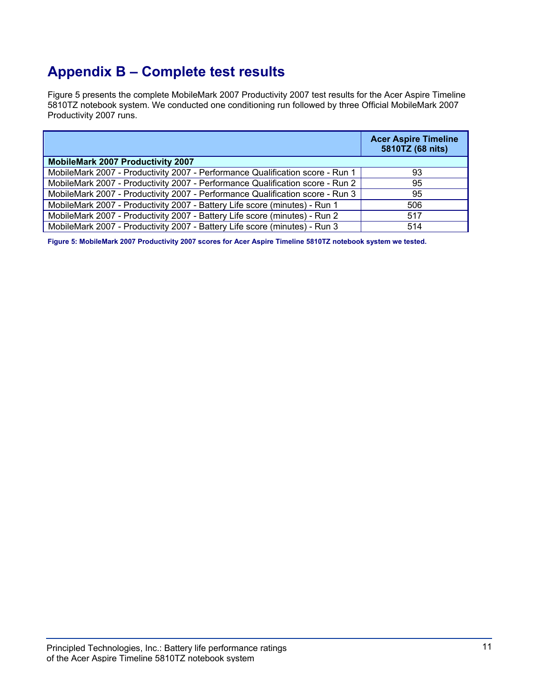# **Appendix B – Complete test results**

Figure 5 presents the complete MobileMark 2007 Productivity 2007 test results for the Acer Aspire Timeline 5810TZ notebook system. We conducted one conditioning run followed by three Official MobileMark 2007 Productivity 2007 runs.

|                                                                               | <b>Acer Aspire Timeline</b><br>5810TZ (68 nits) |
|-------------------------------------------------------------------------------|-------------------------------------------------|
| <b>MobileMark 2007 Productivity 2007</b>                                      |                                                 |
| MobileMark 2007 - Productivity 2007 - Performance Qualification score - Run 1 | 93                                              |
| MobileMark 2007 - Productivity 2007 - Performance Qualification score - Run 2 | 95                                              |
| MobileMark 2007 - Productivity 2007 - Performance Qualification score - Run 3 | 95                                              |
| MobileMark 2007 - Productivity 2007 - Battery Life score (minutes) - Run 1    | 506                                             |
| MobileMark 2007 - Productivity 2007 - Battery Life score (minutes) - Run 2    | 517                                             |
| MobileMark 2007 - Productivity 2007 - Battery Life score (minutes) - Run 3    | 514                                             |

**Figure 5: MobileMark 2007 Productivity 2007 scores for Acer Aspire Timeline 5810TZ notebook system we tested.**